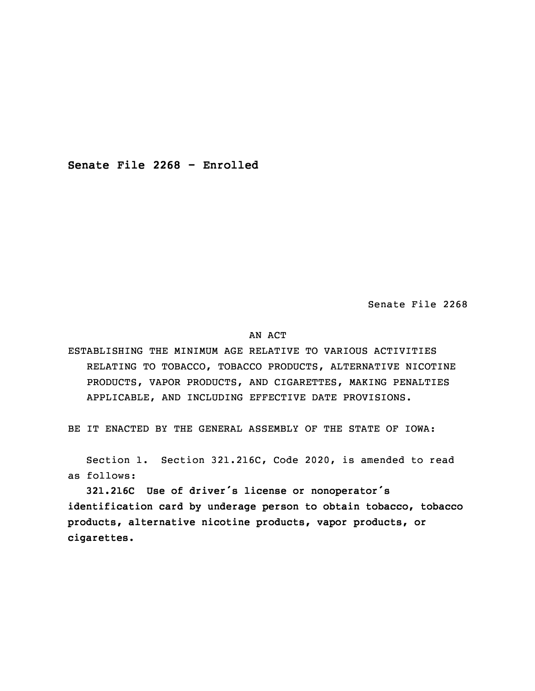**Senate File 2268 - Enrolled**

Senate File 2268

## AN ACT

ESTABLISHING THE MINIMUM AGE RELATIVE TO VARIOUS ACTIVITIES RELATING TO TOBACCO, TOBACCO PRODUCTS, ALTERNATIVE NICOTINE PRODUCTS, VAPOR PRODUCTS, AND CIGARETTES, MAKING PENALTIES APPLICABLE, AND INCLUDING EFFECTIVE DATE PROVISIONS.

BE IT ENACTED BY THE GENERAL ASSEMBLY OF THE STATE OF IOWA:

 Section 1. Section 321.216C, Code 2020, is amended to read as follows:

 **321.216C Use of driver's license or nonoperator's identification card by underage person to obtain tobacco, tobacco products, alternative nicotine products, vapor products, or cigarettes.**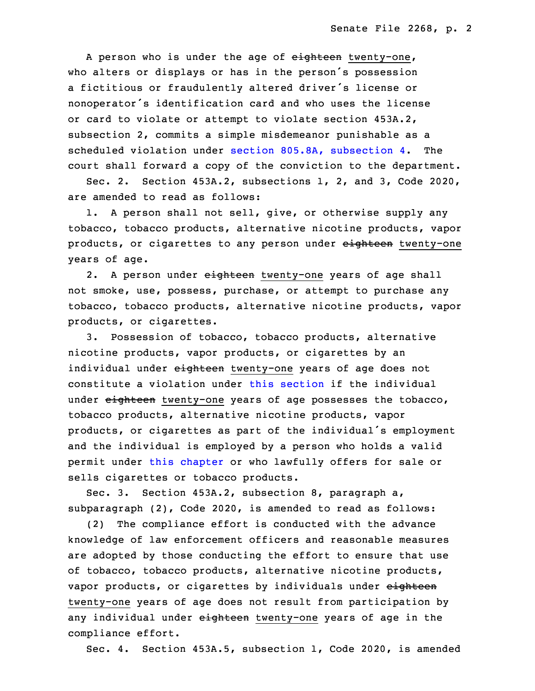A person who is under the age of eighteen twenty-one, who alters or displays or has in the person's possession a fictitious or fraudulently altered driver's license or nonoperator's identification card and who uses the license or card to violate or attempt to violate section 453A.2, subsection 2, commits <sup>a</sup> simple misdemeanor punishable as <sup>a</sup> scheduled violation under section 805.8A, [subsection](https://www.legis.iowa.gov/docs/code/2020/805.8A.pdf) 4. The court shall forward <sup>a</sup> copy of the conviction to the department.

Sec. 2. Section  $453A.2$ , subsections  $1$ ,  $2$ , and  $3$ , Code 2020, are amended to read as follows:

1. A person shall not sell, give, or otherwise supply any tobacco, tobacco products, alternative nicotine products, vapor products, or cigarettes to any person under eighteen twenty-one years of age.

2. A person under eighteen twenty-one years of age shall not smoke, use, possess, purchase, or attempt to purchase any tobacco, tobacco products, alternative nicotine products, vapor products, or cigarettes.

25 3. Possession of tobacco, tobacco products, alternative nicotine products, vapor products, or cigarettes by an individual under eighteen twenty-one years of age does not constitute a violation under this [section](https://www.legis.iowa.gov/docs/code/2020/453A.2.pdf) if the individual under eighteen twenty-one years of age possesses the tobacco, tobacco products, alternative nicotine products, vapor products, or cigarettes as part of the individual's employment and the individual is employed by a person who holds a valid permit under this [chapter](https://www.legis.iowa.gov/docs/code/2020/453A.pdf) or who lawfully offers for sale or sells cigarettes or tobacco products.

Sec. 3. Section 453A.2, subsection 8, paragraph a, subparagraph (2), Code 2020, is amended to read as follows:

 (2) The compliance effort is conducted with the advance knowledge of law enforcement officers and reasonable measures are adopted by those conducting the effort to ensure that use of tobacco, tobacco products, alternative nicotine products, vapor products, or cigarettes by individuals under eighteen twenty-one years of age does not result from participation by any individual under eighteen twenty-one years of age in the compliance effort.

Sec. 4. Section 453A.5, subsection 1, Code 2020, is amended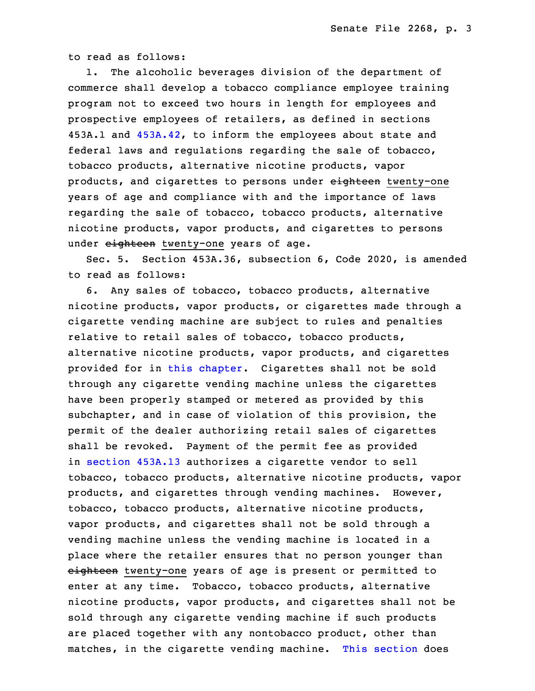to read as follows:

 1. The alcoholic beverages division of the department of commerce shall develop a tobacco compliance employee training program not to exceed two hours in length for employees and prospective employees of retailers, as defined in sections 453A.1 and [453A.42](https://www.legis.iowa.gov/docs/code/2020/453A.42.pdf), to inform the employees about state and federal laws and regulations regarding the sale of tobacco, tobacco products, alternative nicotine products, vapor products, and cigarettes to persons under eighteen twenty-one years of age and compliance with and the importance of laws regarding the sale of tobacco, tobacco products, alternative nicotine products, vapor products, and cigarettes to persons under eighteen twenty-one years of age.

 Sec. 5. Section 453A.36, subsection 6, Code 2020, is amended to read as follows:

6. Any sales of tobacco, tobacco products, alternative nicotine products, vapor products, or cigarettes made through a cigarette vending machine are subject to rules and penalties relative to retail sales of tobacco, tobacco products, alternative nicotine products, vapor products, and cigarettes provided for in this [chapter](https://www.legis.iowa.gov/docs/code/2020/453A.pdf). Cigarettes shall not be sold through any cigarette vending machine unless the cigarettes have been properly stamped or metered as provided by this subchapter, and in case of violation of this provision, the permit of the dealer authorizing retail sales of cigarettes shall be revoked. Payment of the permit fee as provided in [section](https://www.legis.iowa.gov/docs/code/2020/453A.13.pdf) 453A.13 authorizes <sup>a</sup> cigarette vendor to sell tobacco, tobacco products, alternative nicotine products, vapor products, and cigarettes through vending machines. However, tobacco, tobacco products, alternative nicotine products, vapor products, and cigarettes shall not be sold through a vending machine unless the vending machine is located in a place where the retailer ensures that no person younger than eighteen twenty-one years of age is present or permitted to enter at any time. Tobacco, tobacco products, alternative nicotine products, vapor products, and cigarettes shall not be sold through any cigarette vending machine if such products are placed together with any nontobacco product, other than matches, in the cigarette vending machine. This [section](https://www.legis.iowa.gov/docs/code/2020/453A.36.pdf) does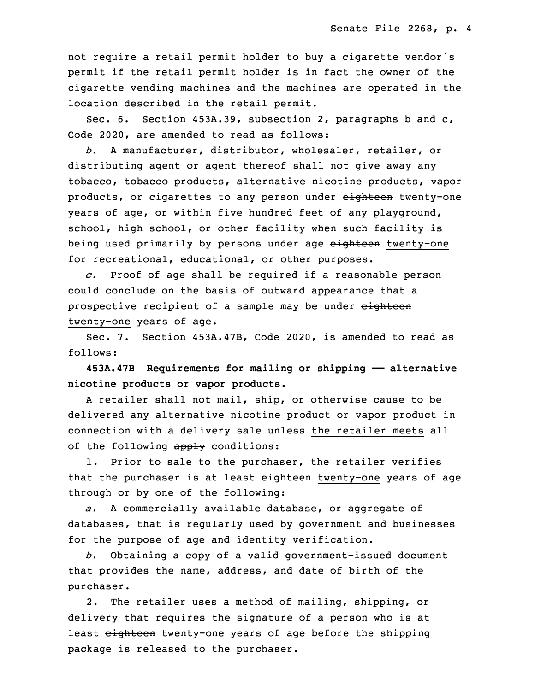not require a retail permit holder to buy a cigarette vendor's permit if the retail permit holder is in fact the owner of the cigarette vending machines and the machines are operated in the location described in the retail permit.

Sec. 6. Section 453A.39, subsection 2, paragraphs b and c, Code 2020, are amended to read as follows:

 *b.* A manufacturer, distributor, wholesaler, retailer, or distributing agent or agent thereof shall not give away any tobacco, tobacco products, alternative nicotine products, vapor products, or cigarettes to any person under eighteen twenty-one years of age, or within five hundred feet of any playground, school, high school, or other facility when such facility is being used primarily by persons under age eighteen twenty-one for recreational, educational, or other purposes.

29 *c.* Proof of age shall be required if <sup>a</sup> reasonable person could conclude on the basis of outward appearance that a prospective recipient of a sample may be under eighteen twenty-one years of age.

Sec. 7. Section 453A.47B, Code 2020, is amended to read as follows:

35 **453A.47B Requirements for mailing or shipping —— alternative nicotine products or vapor products.**

 <sup>A</sup> retailer shall not mail, ship, or otherwise cause to be delivered any alternative nicotine product or vapor product in connection with <sup>a</sup> delivery sale unless the retailer meets all of the following apply conditions:

1. Prior to sale to the purchaser, the retailer verifies that the purchaser is at least eighteen twenty-one years of age through or by one of the following:

9 *a.* <sup>A</sup> commercially available database, or aggregate of databases, that is regularly used by government and businesses for the purpose of age and identity verification.

 *b.* Obtaining <sup>a</sup> copy of <sup>a</sup> valid government-issued document that provides the name, address, and date of birth of the purchaser.

2. The retailer uses a method of mailing, shipping, or delivery that requires the signature of a person who is at least eighteen twenty-one years of age before the shipping package is released to the purchaser.